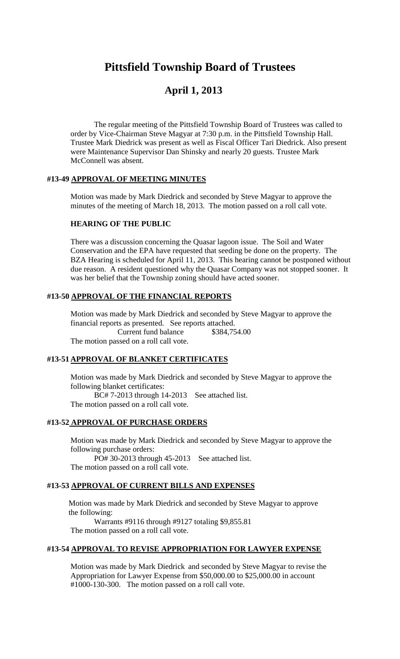# **Pittsfield Township Board of Trustees**

## **April 1, 2013**

The regular meeting of the Pittsfield Township Board of Trustees was called to order by Vice-Chairman Steve Magyar at 7:30 p.m. in the Pittsfield Township Hall. Trustee Mark Diedrick was present as well as Fiscal Officer Tari Diedrick. Also present were Maintenance Supervisor Dan Shinsky and nearly 20 guests. Trustee Mark McConnell was absent.

## **#13-49 APPROVAL OF MEETING MINUTES**

Motion was made by Mark Diedrick and seconded by Steve Magyar to approve the minutes of the meeting of March 18, 2013. The motion passed on a roll call vote.

#### **HEARING OF THE PUBLIC**

There was a discussion concerning the Quasar lagoon issue. The Soil and Water Conservation and the EPA have requested that seeding be done on the property. The BZA Hearing is scheduled for April 11, 2013. This hearing cannot be postponed without due reason. A resident questioned why the Quasar Company was not stopped sooner. It was her belief that the Township zoning should have acted sooner.

## **#13-50 APPROVAL OF THE FINANCIAL REPORTS**

Motion was made by Mark Diedrick and seconded by Steve Magyar to approve the financial reports as presented. See reports attached. Current fund balance \$384,754.00 The motion passed on a roll call vote.

## **#13-51 APPROVAL OF BLANKET CERTIFICATES**

Motion was made by Mark Diedrick and seconded by Steve Magyar to approve the following blanket certificates: BC# 7-2013 through 14-2013 See attached list.

The motion passed on a roll call vote.

## **#13-52 APPROVAL OF PURCHASE ORDERS**

Motion was made by Mark Diedrick and seconded by Steve Magyar to approve the following purchase orders:

PO# 30-2013 through 45-2013 See attached list. The motion passed on a roll call vote.

#### **#13-53 APPROVAL OF CURRENT BILLS AND EXPENSES**

Motion was made by Mark Diedrick and seconded by Steve Magyar to approve the following:

Warrants #9116 through #9127 totaling \$9,855.81 The motion passed on a roll call vote.

## **#13-54 APPROVAL TO REVISE APPROPRIATION FOR LAWYER EXPENSE**

Motion was made by Mark Diedrick and seconded by Steve Magyar to revise the Appropriation for Lawyer Expense from \$50,000.00 to \$25,000.00 in account #1000-130-300. The motion passed on a roll call vote.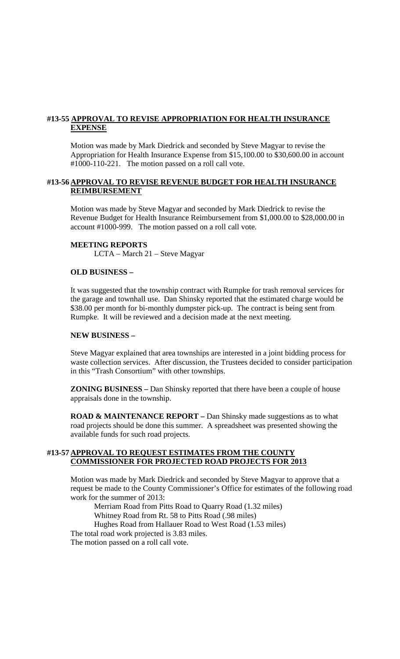## **#13-55 APPROVAL TO REVISE APPROPRIATION FOR HEALTH INSURANCE EXPENSE**

Motion was made by Mark Diedrick and seconded by Steve Magyar to revise the Appropriation for Health Insurance Expense from \$15,100.00 to \$30,600.00 in account #1000-110-221. The motion passed on a roll call vote.

## **#13-56 APPROVAL TO REVISE REVENUE BUDGET FOR HEALTH INSURANCE REIMBURSEMENT**

Motion was made by Steve Magyar and seconded by Mark Diedrick to revise the Revenue Budget for Health Insurance Reimbursement from \$1,000.00 to \$28,000.00 in account #1000-999. The motion passed on a roll call vote.

## **MEETING REPORTS**

LCTA – March 21 – Steve Magyar

#### **OLD BUSINESS –**

It was suggested that the township contract with Rumpke for trash removal services for the garage and townhall use. Dan Shinsky reported that the estimated charge would be \$38.00 per month for bi-monthly dumpster pick-up. The contract is being sent from Rumpke. It will be reviewed and a decision made at the next meeting.

## **NEW BUSINESS –**

Steve Magyar explained that area townships are interested in a joint bidding process for waste collection services. After discussion, the Trustees decided to consider participation in this "Trash Consortium" with other townships.

**ZONING BUSINESS –** Dan Shinsky reported that there have been a couple of house appraisals done in the township.

**ROAD & MAINTENANCE REPORT –** Dan Shinsky made suggestions as to what road projects should be done this summer. A spreadsheet was presented showing the available funds for such road projects.

## **#13-57 APPROVAL TO REQUEST ESTIMATES FROM THE COUNTY COMMISSIONER FOR PROJECTED ROAD PROJECTS FOR 2013**

Motion was made by Mark Diedrick and seconded by Steve Magyar to approve that a request be made to the County Commissioner's Office for estimates of the following road work for the summer of 2013:

Merriam Road from Pitts Road to Quarry Road (1.32 miles)

Whitney Road from Rt. 58 to Pitts Road (.98 miles)

Hughes Road from Hallauer Road to West Road (1.53 miles) The total road work projected is 3.83 miles. The motion passed on a roll call vote.